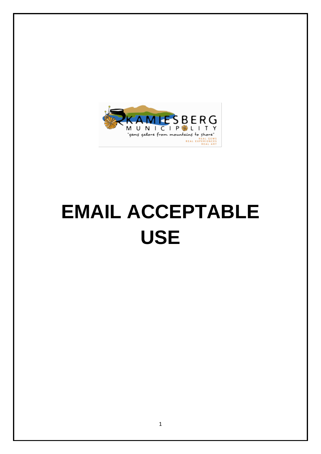

# **EMAIL ACCEPTABLE USE**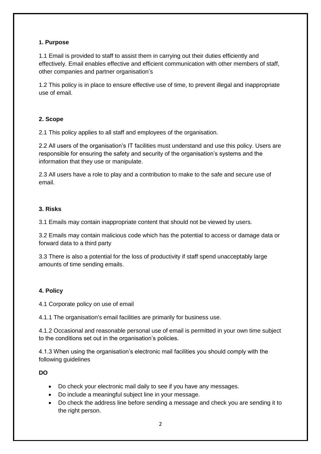#### **1. Purpose**

1.1 Email is provided to staff to assist them in carrying out their duties efficiently and effectively. Email enables effective and efficient communication with other members of staff, other companies and partner organisation's

1.2 This policy is in place to ensure effective use of time, to prevent illegal and inappropriate use of email.

#### **2. Scope**

2.1 This policy applies to all staff and employees of the organisation.

2.2 All users of the organisation's IT facilities must understand and use this policy. Users are responsible for ensuring the safety and security of the organisation's systems and the information that they use or manipulate.

2.3 All users have a role to play and a contribution to make to the safe and secure use of email.

#### **3. Risks**

3.1 Emails may contain inappropriate content that should not be viewed by users.

3.2 Emails may contain malicious code which has the potential to access or damage data or forward data to a third party

3.3 There is also a potential for the loss of productivity if staff spend unacceptably large amounts of time sending emails.

# **4. Policy**

4.1 Corporate policy on use of email

4.1.1 The organisation's email facilities are primarily for business use.

4.1.2 Occasional and reasonable personal use of email is permitted in your own time subject to the conditions set out in the organisation's policies.

4.1.3 When using the organisation's electronic mail facilities you should comply with the following guidelines

**DO**

- Do check your electronic mail daily to see if you have any messages.
- Do include a meaningful subject line in your message.
- Do check the address line before sending a message and check you are sending it to the right person.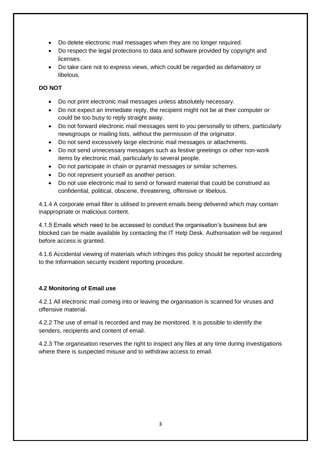- Do delete electronic mail messages when they are no longer required.
- Do respect the legal protections to data and software provided by copyright and licenses.
- Do take care not to express views, which could be regarded as defamatory or libelous.

# **DO NOT**

- Do not print electronic mail messages unless absolutely necessary.
- Do not expect an immediate reply, the recipient might not be at their computer or could be too busy to reply straight away.
- Do not forward electronic mail messages sent to you personally to others, particularly newsgroups or mailing lists, without the permission of the originator.
- Do not send excessively large electronic mail messages or attachments.
- Do not send unnecessary messages such as festive greetings or other non-work items by electronic mail, particularly to several people.
- Do not participate in chain or pyramid messages or similar schemes.
- Do not represent yourself as another person.
- Do not use electronic mail to send or forward material that could be construed as confidential, political, obscene, threatening, offensive or libelous.

4.1.4 A corporate email filter is utilised to prevent emails being delivered which may contain inappropriate or malicious content.

4.1.5 Emails which need to be accessed to conduct the organisation's business but are blocked can be made available by contacting the IT Help Desk. Authorisation will be required before access is granted.

4.1.6 Accidental viewing of materials which infringes this policy should be reported according to the Information security incident reporting procedure.

# **4.2 Monitoring of Email use**

4.2.1 All electronic mail coming into or leaving the organisation is scanned for viruses and offensive material.

4.2.2 The use of email is recorded and may be monitored. It is possible to identify the senders, recipients and content of email.

4.2.3 The organisation reserves the right to inspect any files at any time during investigations where there is suspected misuse and to withdraw access to email.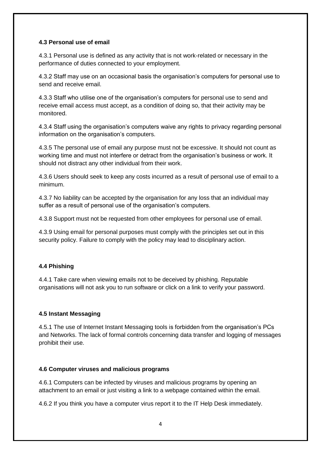#### **4.3 Personal use of email**

4.3.1 Personal use is defined as any activity that is not work-related or necessary in the performance of duties connected to your employment.

4.3.2 Staff may use on an occasional basis the organisation's computers for personal use to send and receive email.

4.3.3 Staff who utilise one of the organisation's computers for personal use to send and receive email access must accept, as a condition of doing so, that their activity may be monitored.

4.3.4 Staff using the organisation's computers waive any rights to privacy regarding personal information on the organisation's computers.

4.3.5 The personal use of email any purpose must not be excessive. It should not count as working time and must not interfere or detract from the organisation's business or work. It should not distract any other individual from their work.

4.3.6 Users should seek to keep any costs incurred as a result of personal use of email to a minimum.

4.3.7 No liability can be accepted by the organisation for any loss that an individual may suffer as a result of personal use of the organisation's computers.

4.3.8 Support must not be requested from other employees for personal use of email.

4.3.9 Using email for personal purposes must comply with the principles set out in this security policy. Failure to comply with the policy may lead to disciplinary action.

# **4.4 Phishing**

4.4.1 Take care when viewing emails not to be deceived by phishing. Reputable organisations will not ask you to run software or click on a link to verify your password.

# **4.5 Instant Messaging**

4.5.1 The use of Internet Instant Messaging tools is forbidden from the organisation's PCs and Networks. The lack of formal controls concerning data transfer and logging of messages prohibit their use.

# **4.6 Computer viruses and malicious programs**

4.6.1 Computers can be infected by viruses and malicious programs by opening an attachment to an email or just visiting a link to a webpage contained within the email.

4.6.2 If you think you have a computer virus report it to the IT Help Desk immediately.